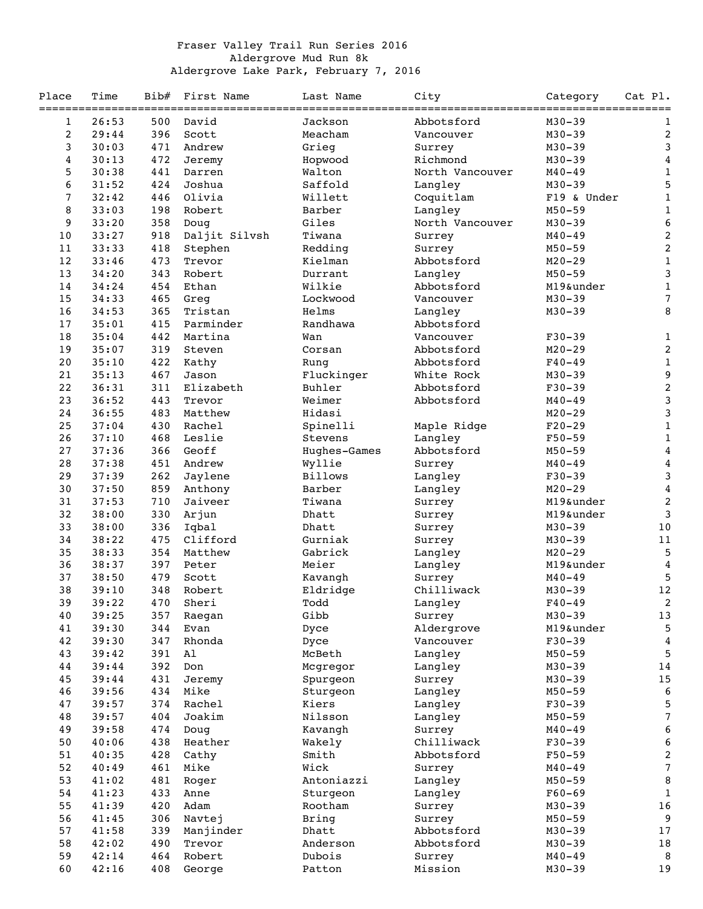## Fraser Valley Trail Run Series 2016 Aldergrove Mud Run 8k Aldergrove Lake Park, February 7, 2016

| Place           | Time<br>----- | Bib# | First Name<br>----------- | Last Name<br>------------- | City            | Category                 | Cat Pl.                   |
|-----------------|---------------|------|---------------------------|----------------------------|-----------------|--------------------------|---------------------------|
| 1               | 26:53         | 500  | David                     | Jackson                    | Abbotsford      | ----------<br>$M30 - 39$ | $===$<br>1                |
| $\overline{c}$  | 29:44         | 396  | Scott                     | Meacham                    | Vancouver       | $M30 - 39$               | $\boldsymbol{2}$          |
| 3               | 30:03         | 471  | Andrew                    | Grieg                      | Surrey          | $M30 - 39$               | 3                         |
| $\overline{4}$  | 30:13         | 472  | Jeremy                    | Hopwood                    | Richmond        | $M30 - 39$               | $\boldsymbol{4}$          |
| 5               | 30:38         | 441  | Darren                    | Walton                     | North Vancouver | $M40 - 49$               | $\mathbf 1$               |
| 6               | 31:52         | 424  | Joshua                    | Saffold                    | Langley         | $M30 - 39$               | 5                         |
| $7\phantom{.0}$ | 32:42         | 446  | Olivia                    | Willett                    | Coquitlam       | F19 & Under              | $\mathbf 1$               |
| 8               | 33:03         | 198  | Robert                    | Barber                     | Langley         | $M50 - 59$               | $\mathbf 1$               |
| 9               | 33:20         | 358  | Doug                      | Giles                      | North Vancouver | $M30 - 39$               | $\boldsymbol{6}$          |
| 10              | 33:27         | 918  | Daljit Silvsh             | Tiwana                     | Surrey          | $M40 - 49$               | $\boldsymbol{2}$          |
| 11              | 33:33         | 418  | Stephen                   | Redding                    | Surrey          | $M50 - 59$               | $\boldsymbol{2}$          |
| 12              | 33:46         | 473  | Trevor                    | Kielman                    | Abbotsford      | $M20 - 29$               | $\mathbf{1}$              |
| 13              | 34:20         | 343  | Robert                    | Durrant                    | Langley         | $M50 - 59$               | $\ensuremath{\mathsf{3}}$ |
| 14              | 34:24         | 454  | Ethan                     | Wilkie                     | Abbotsford      | M19&under                | $\mathbf{1}$              |
| 15              | 34:33         | 465  | Greg                      | Lockwood                   | Vancouver       | $M30 - 39$               | $\overline{7}$            |
| 16              | 34:53         | 365  | Tristan                   | Helms                      | Langley         | $M30 - 39$               | 8                         |
| 17              | 35:01         | 415  | Parminder                 | Randhawa                   | Abbotsford      |                          |                           |
| 18              | 35:04         | 442  | Martina                   | Wan                        | Vancouver       | $F30-39$                 | 1                         |
| 19              | 35:07         | 319  | Steven                    | Corsan                     | Abbotsford      | $M20 - 29$               | $\boldsymbol{2}$          |
| 20              | 35:10         | 422  | Kathy                     | Rung                       | Abbotsford      | $F40 - 49$               | $1\,$                     |
| 21              | 35:13         | 467  | Jason                     | Fluckinger                 | White Rock      | $M30 - 39$               | 9                         |
| 22              | 36:31         | 311  | Elizabeth                 | Buhler                     | Abbotsford      | $F30-39$                 | $\boldsymbol{2}$          |
| 23              | 36:52         | 443  | Trevor                    | Weimer                     | Abbotsford      | $M40 - 49$               | 3                         |
| 24              | 36:55         | 483  | Matthew                   | Hidasi                     |                 | $M20 - 29$               | 3                         |
| 25              | 37:04         | 430  | Rachel                    | Spinelli                   | Maple Ridge     | $F20-29$                 | $\mathbf 1$               |
| 26              | 37:10         | 468  | Leslie                    | Stevens                    | Langley         | $F50 - 59$               | $\mathbf{1}$              |
| 27              | 37:36         | 366  | Geoff                     | Hughes-Games               | Abbotsford      | $M50 - 59$               | $\boldsymbol{4}$          |
| 28              | 37:38         | 451  | Andrew                    | Wyllie                     | Surrey          | $M40 - 49$               | $\bf{4}$                  |
| 29              | 37:39         | 262  | Jaylene                   | <b>Billows</b>             | Langley         | $F30-39$                 | 3                         |
| 30              | 37:50         | 859  | Anthony                   | Barber                     | Langley         | $M20 - 29$               | $\boldsymbol{4}$          |
| 31              | 37:53         | 710  | Jaiveer                   | Tiwana                     | Surrey          | M19&under                | 2                         |
| 32              | 38:00         | 330  | Arjun                     | Dhatt                      | Surrey          | M19&under                | $\mathsf 3$               |
| 33              | 38:00         | 336  | Iqbal                     | Dhatt                      | Surrey          | $M30 - 39$               | $10$                      |
| 34              | 38:22         | 475  | Clifford                  | Gurniak                    | Surrey          | $M30 - 39$               | 11                        |
| 35              | 38:33         | 354  | Matthew                   | Gabrick                    | Langley         | $M20 - 29$               | 5                         |
| 36              | 38:37         | 397  | Peter                     | Meier                      | Langley         | M19&under                | $\boldsymbol{4}$          |
| 37              | 38:50         | 479  | Scott                     | Kavangh                    | Surrey          | $M40 - 49$               | 5                         |
| 38              | 39:10         | 348  | Robert                    | Eldridge                   | Chilliwack      | $M30 - 39$               | $12\,$                    |
| 39              | 39:22         | 470  | Sheri                     | Todd                       | Langley         | $F40 - 49$               | 2                         |
| 40              | 39:25         | 357  | Raegan                    | Gibb                       | Surrey          | $M30 - 39$               | 13                        |
| 41              | 39:30         | 344  | Evan                      | Dyce                       | Aldergrove      | M19&under                | 5                         |
| 42              | 39:30         | 347  | Rhonda                    | Dyce                       | Vancouver       | $F30-39$                 | 4                         |
| 43              | 39:42         | 391  | Al                        | McBeth                     | Langley         | $M50 - 59$               | 5                         |
| 44              | 39:44         | 392  | Don                       | Mcgregor                   | Langley         | $M30 - 39$               | 14                        |
| 45              | 39:44         | 431  | Jeremy                    | Spurgeon                   | Surrey          | $M30 - 39$               | $15\,$                    |
| 46              | 39:56         | 434  | Mike                      | Sturgeon                   | Langley         | $M50 - 59$               | 6                         |
| 47              | 39:57         | 374  | Rachel                    | Kiers                      | Langley         | $F30 - 39$               | 5                         |
| 48              | 39:57         | 404  | Joakim                    | Nilsson                    | Langley         | $M50 - 59$               | $\boldsymbol{7}$          |
| 49              | 39:58         | 474  | Doug                      | Kavangh                    | Surrey          | $M40 - 49$               | 6                         |
| 50              | 40:06         | 438  | Heather                   | Wakely                     | Chilliwack      | $F30-39$                 | 6                         |
| 51              | 40:35         | 428  | Cathy                     | Smith                      | Abbotsford      | $F50 - 59$               | $\overline{\mathbf{c}}$   |
| 52              | 40:49         | 461  | Mike                      | Wick                       | Surrey          | $M40 - 49$               | $\boldsymbol{7}$          |
| 53              | 41:02         | 481  | Roger                     | Antoniazzi                 | Langley         | $M50 - 59$               | $\, 8$                    |
| 54              | 41:23         | 433  | Anne                      | Sturgeon                   | Langley         | $F60 - 69$               | $\mathbf{1}$              |
| 55              | 41:39         | 420  | Adam                      | Rootham                    | Surrey          | $M30 - 39$               | 16                        |
| 56              | 41:45         | 306  | Navtej                    | Bring                      | Surrey          | $M50 - 59$               | 9                         |
| 57              | 41:58         | 339  | Manjinder                 | Dhatt                      | Abbotsford      | $M30 - 39$               | 17                        |
| 58              | 42:02         | 490  | Trevor                    | Anderson                   | Abbotsford      | $M30 - 39$               | 18                        |
| 59              | 42:14         | 464  | Robert                    | Dubois                     | Surrey          | $M40 - 49$               | 8                         |
| 60              | 42:16         | 408  |                           |                            | Mission         | $M30 - 39$               | 19                        |
|                 |               |      | George                    | Patton                     |                 |                          |                           |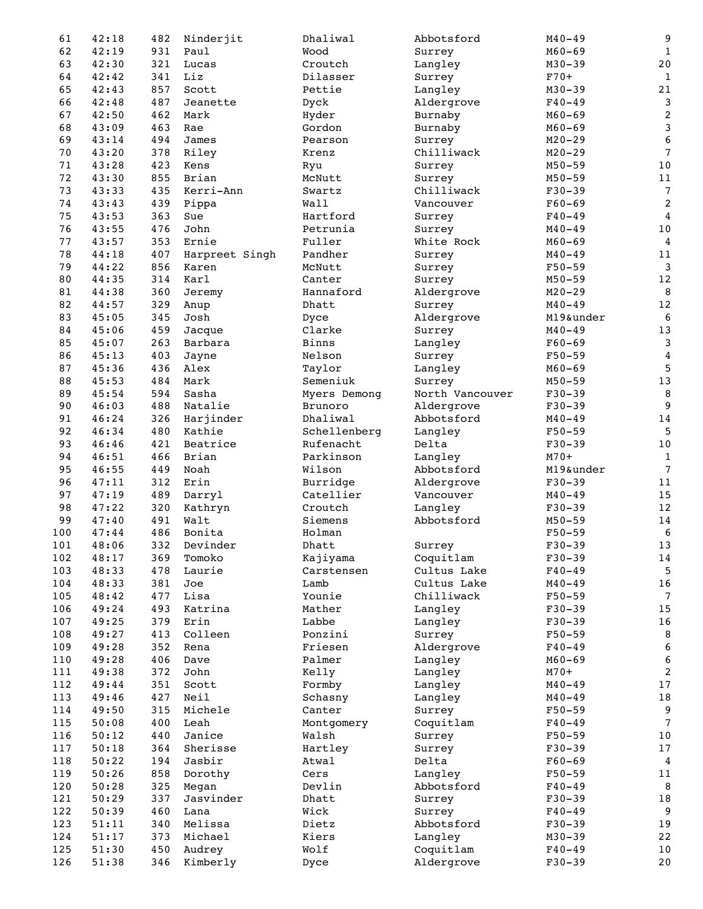| 61  | 42:18 | 482 | Ninderjit      | Dhaliwal     | Abbotsford      | $M40 - 49$ | 9                         |
|-----|-------|-----|----------------|--------------|-----------------|------------|---------------------------|
| 62  | 42:19 | 931 | Paul           | Wood         | Surrey          | $M60 - 69$ | $\mathbf{1}$              |
| 63  | 42:30 | 321 | Lucas          | Croutch      | Langley         | $M30 - 39$ | $2\,0$                    |
| 64  | 42:42 | 341 | Liz            | Dilasser     | Surrey          | $F70+$     | $\mathbf{1}$              |
| 65  | 42:43 | 857 | Scott          | Pettie       | Langley         | $M30 - 39$ | $2\sqrt{1}$               |
| 66  | 42:48 | 487 | Jeanette       | Dyck         | Aldergrove      | $F40 - 49$ | $\mathsf 3$               |
| 67  | 42:50 | 462 | Mark           | Hyder        | Burnaby         | $M60 - 69$ | $\boldsymbol{2}$          |
| 68  | 43:09 | 463 | Rae            | Gordon       | Burnaby         | $M60 - 69$ | $\ensuremath{\mathsf{3}}$ |
| 69  | 43:14 | 494 | James          | Pearson      | Surrey          | $M20 - 29$ | $\boldsymbol{6}$          |
| 70  | 43:20 | 378 | Riley          | Krenz        | Chilliwack      | $M20 - 29$ | $\overline{7}$            |
| 71  | 43:28 | 423 | Kens           | Ryu          | Surrey          | $M50 - 59$ | $1\,0$                    |
| 72  | 43:30 | 855 | Brian          | McNutt       | Surrey          | $M50 - 59$ | 11                        |
| 73  | 43:33 | 435 | Kerri-Ann      | Swartz       | Chilliwack      | $F30-39$   | $\overline{7}$            |
| 74  | 43:43 | 439 | Pippa          | Wall         | Vancouver       | $F60 - 69$ | $\boldsymbol{2}$          |
| 75  | 43:53 | 363 | Sue            | Hartford     | Surrey          | $F40 - 49$ | $\overline{4}$            |
| 76  | 43:55 | 476 | John           | Petrunia     | Surrey          | $M40 - 49$ | $10\,$                    |
| 77  | 43:57 | 353 | Ernie          | Fuller       | White Rock      | $M60 - 69$ |                           |
|     |       |     |                |              |                 |            | $\overline{4}$            |
| 78  | 44:18 | 407 | Harpreet Singh | Pandher      | Surrey          | $M40 - 49$ | $11$                      |
| 79  | 44:22 | 856 | Karen          | McNutt       | Surrey          | $F50 - 59$ | $\mathsf 3$               |
| 80  | 44:35 | 314 | Karl           | Canter       | Surrey          | $M50 - 59$ | $12\,$                    |
| 81  | 44:38 | 360 | Jeremy         | Hannaford    | Aldergrove      | $M20 - 29$ | 8                         |
| 82  | 44:57 | 329 | Anup           | Dhatt        | Surrey          | $M40 - 49$ | $12\,$                    |
| 83  | 45:05 | 345 | Josh           | Dyce         | Aldergrove      | M19&under  | $\sqrt{6}$                |
| 84  | 45:06 | 459 | Jacque         | Clarke       | Surrey          | $M40 - 49$ | $13\,$                    |
| 85  | 45:07 | 263 | Barbara        | <b>Binns</b> | Langley         | $F60 - 69$ | $\mathbf{3}$              |
| 86  | 45:13 | 403 | Jayne          | Nelson       | Surrey          | $F50 - 59$ | $\bf{4}$                  |
| 87  | 45:36 | 436 | Alex           | Taylor       | Langley         | $M60 - 69$ | 5                         |
| 88  | 45:53 | 484 | Mark           | Semeniuk     | Surrey          | $M50 - 59$ | $13\,$                    |
| 89  | 45:54 | 594 | Sasha          | Myers Demong | North Vancouver | $F30-39$   | 8                         |
| 90  | 46:03 | 488 | Natalie        | Brunoro      | Aldergrove      | $F30-39$   | $\overline{9}$            |
| 91  | 46:24 | 326 | Harjinder      | Dhaliwal     | Abbotsford      | $M40 - 49$ | $1\,4$                    |
| 92  | 46:34 | 480 | Kathie         | Schellenberg | Langley         | $F50 - 59$ | 5                         |
| 93  | 46:46 | 421 | Beatrice       | Rufenacht    | Delta           | $F30-39$   | $10\,$                    |
| 94  | 46:51 | 466 | Brian          | Parkinson    | Langley         | $M70+$     | $1\,$                     |
| 95  | 46:55 | 449 | Noah           | Wilson       | Abbotsford      | M19&under  | $7\phantom{.0}$           |
| 96  | 47:11 | 312 | Erin           | Burridge     | Aldergrove      | $F30-39$   | 11                        |
| 97  | 47:19 | 489 | Darryl         | Catellier    | Vancouver       | $M40 - 49$ | 15                        |
| 98  | 47:22 | 320 | Kathryn        | Croutch      | Langley         | $F30-39$   | $12\,$                    |
| 99  | 47:40 | 491 | Walt           | Siemens      | Abbotsford      | $M50 - 59$ | 14                        |
| 100 | 47:44 | 486 | Bonita         | Holman       |                 | $F50 - 59$ | 6                         |
| 101 | 48:06 | 332 | Devinder       | Dhatt        | Surrey          | $F30 - 39$ | 13                        |
| 102 | 48:17 | 369 | Tomoko         | Kajiyama     | Coquitlam       | $F30-39$   | $1\,4$                    |
| 103 | 48:33 | 478 | Laurie         | Carstensen   | Cultus Lake     | $F40 - 49$ | 5                         |
| 104 | 48:33 | 381 | Joe            | Lamb         | Cultus Lake     | $M40 - 49$ | 16                        |
| 105 | 48:42 | 477 | Lisa           | Younie       | Chilliwack      | $F50 - 59$ | 7                         |
| 106 | 49:24 | 493 | Katrina        | Mather       | Langley         | $F30-39$   | 15                        |
| 107 | 49:25 | 379 | Erin           | Labbe        | Langley         | $F30-39$   | 16                        |
| 108 | 49:27 | 413 | Colleen        | Ponzini      | Surrey          | $F50 - 59$ | 8                         |
| 109 | 49:28 | 352 | Rena           | Friesen      | Aldergrove      | $F40 - 49$ | 6                         |
| 110 | 49:28 | 406 | Dave           | Palmer       |                 | $M60 - 69$ | $\boldsymbol{6}$          |
|     |       |     |                |              | Langley         |            |                           |
| 111 | 49:38 | 372 | John           | Kelly        | Langley         | $M70+$     | $\sqrt{2}$                |
| 112 | 49:44 | 351 | Scott          | Formby       | Langley         | $M40 - 49$ | 17                        |
| 113 | 49:46 | 427 | Neil           | Schasny      | Langley         | $M40 - 49$ | $1\,8$                    |
| 114 | 49:50 | 315 | Michele        | Canter       | Surrey          | $F50 - 59$ | 9                         |
| 115 | 50:08 | 400 | Leah           | Montgomery   | Coquitlam       | $F40 - 49$ | 7                         |
| 116 | 50:12 | 440 | Janice         | Walsh        | Surrey          | $F50 - 59$ | $10$                      |
| 117 | 50:18 | 364 | Sherisse       | Hartley      | Surrey          | $F30 - 39$ | 17                        |
| 118 | 50:22 | 194 | Jasbir         | Atwal        | Delta           | $F60 - 69$ | $\overline{4}$            |
| 119 | 50:26 | 858 | Dorothy        | Cers         | Langley         | $F50 - 59$ | $11$                      |
| 120 | 50:28 | 325 | Megan          | Devlin       | Abbotsford      | $F40 - 49$ | $\, 8$                    |
| 121 | 50:29 | 337 | Jasvinder      | Dhatt        | Surrey          | $F30-39$   | 18                        |
| 122 | 50:39 | 460 | Lana           | Wick         | Surrey          | $F40 - 49$ | $\boldsymbol{9}$          |
| 123 | 51:11 | 340 | Melissa        | Dietz        | Abbotsford      | $F30 - 39$ | 19                        |
| 124 | 51:17 | 373 | Michael        | Kiers        | Langley         | $M30 - 39$ | $2\,2$                    |
| 125 | 51:30 | 450 | Audrey         | Wolf         | Coquitlam       | $F40 - 49$ | $10$                      |
| 126 | 51:38 | 346 | Kimberly       | Dyce         | Aldergrove      | $F30 - 39$ | $20$                      |
|     |       |     |                |              |                 |            |                           |